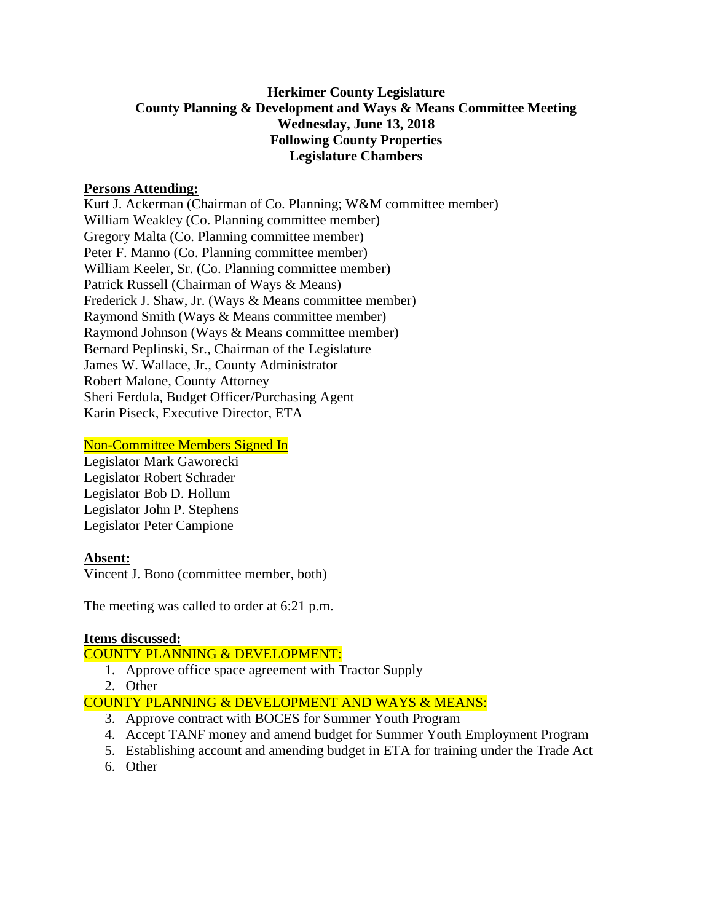# **Herkimer County Legislature County Planning & Development and Ways & Means Committee Meeting Wednesday, June 13, 2018 Following County Properties Legislature Chambers**

### **Persons Attending:**

Kurt J. Ackerman (Chairman of Co. Planning; W&M committee member) William Weakley (Co. Planning committee member) Gregory Malta (Co. Planning committee member) Peter F. Manno (Co. Planning committee member) William Keeler, Sr. (Co. Planning committee member) Patrick Russell (Chairman of Ways & Means) Frederick J. Shaw, Jr. (Ways & Means committee member) Raymond Smith (Ways & Means committee member) Raymond Johnson (Ways & Means committee member) Bernard Peplinski, Sr., Chairman of the Legislature James W. Wallace, Jr., County Administrator Robert Malone, County Attorney Sheri Ferdula, Budget Officer/Purchasing Agent Karin Piseck, Executive Director, ETA

### Non-Committee Members Signed In

Legislator Mark Gaworecki Legislator Robert Schrader Legislator Bob D. Hollum Legislator John P. Stephens Legislator Peter Campione

## **Absent:**

Vincent J. Bono (committee member, both)

The meeting was called to order at 6:21 p.m.

#### **Items discussed:**

## COUNTY PLANNING & DEVELOPMENT:

- 1. Approve office space agreement with Tractor Supply
- 2. Other

## COUNTY PLANNING & DEVELOPMENT AND WAYS & MEANS:

- 3. Approve contract with BOCES for Summer Youth Program
- 4. Accept TANF money and amend budget for Summer Youth Employment Program
- 5. Establishing account and amending budget in ETA for training under the Trade Act
- 6. Other